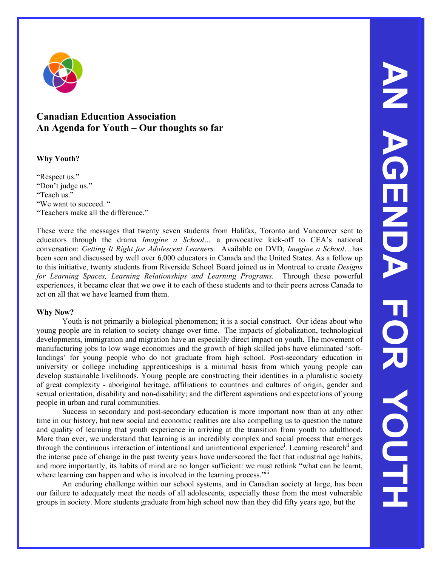

# **Canadian Education Association An Agenda for Youth – Our thoughts so far**

## **Why Youth?**

"Respect us." "Don't judge us." "Teach us" "We want to succeed. " "Teachers make all the difference."

These were the messages that twenty seven students from Halifax, Toronto and Vancouver sent to educators through the drama *Imagine a School…* a provocative kick-off to CEA's national conversation: *Getting It Right for Adolescent Learners.* Available on DVD, *Imagine a School*…has been seen and discussed by well over 6,000 educators in Canada and the United States. As a follow up to this initiative, twenty students from Riverside School Board joined us in Montreal to create *Designs for Learning Spaces, Learning Relationships and Learning Programs.* Through these powerful experiences, it became clear that we owe it to each of these students and to their peers across Canada to act on all that we have learned from them.

## **Why Now?**

Youth is not primarily a biological phenomenon; it is a social construct. Our ideas about who young people are in relation to society change over time. The impacts of globalization, technological developments, immigration and migration have an especially direct impact on youth. The movement of manufacturing jobs to low wage economies and the growth of high skilled jobs have eliminated 'softlandings' for young people who do not graduate from high school. Post-secondary education in university or college including apprenticeships is a minimal basis from which young people can develop sustainable livelihoods. Young people are constructing their identities in a pluralistic society of great complexity - aboriginal heritage, affiliations to countries and cultures of origin, gender and sexual orientation, disability and non-disability; and the different aspirations and expectations of young people in urban and rural communities.

Success in secondary and post-secondary education is more important now than at any other time in our history, but new social and economic realities are also compelling us to question the nature and quality of learning that youth experience in arriving at the transition from youth to adulthood. More than ever, we understand that learning is an incredibly complex and social process that emerges through the continuous interaction of intentional and unintentional experience<sup>i</sup>. Learning research<sup>ii</sup> and the intense pace of change in the past twenty years have underscored the fact that industrial age habits, and more importantly, its habits of mind are no longer sufficient: we must rethink "what can be learnt, where learning can happen and who is involved in the learning process."

An enduring challenge within our school systems, and in Canadian society at large, has been our failure to adequately meet the needs of all adolescents, especially those from the most vulnerable groups in society. More students graduate from high school now than they did fifty years ago, but the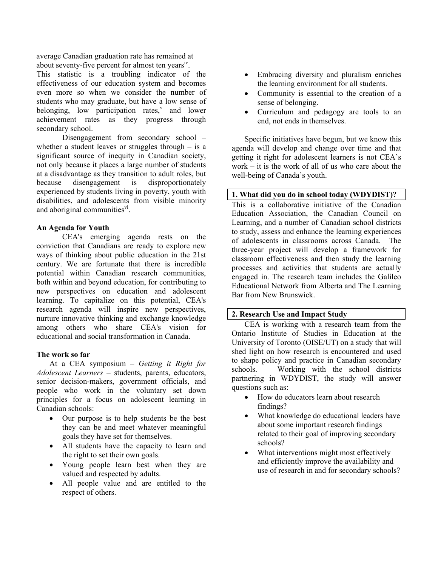average Canadian graduation rate has remained at about seventy-five percent for almost ten years<sup>iv</sup>.

This statistic is a troubling indicator of the effectiveness of our education system and becomes even more so when we consider the number of students who may graduate, but have a low sense of belonging, low participation rates, $v$  and lower achievement rates as they progress through secondary school.

Disengagement from secondary school – whether a student leaves or struggles through  $-$  is a significant source of inequity in Canadian society, not only because it places a large number of students at a disadvantage as they transition to adult roles, but because disengagement is disproportionately experienced by students living in poverty, youth with disabilities, and adolescents from visible minority and aboriginal communities<sup>v<sub>1</sub></sup>.

## **An Agenda for Youth**

CEA's emerging agenda rests on the conviction that Canadians are ready to explore new ways of thinking about public education in the 21st century. We are fortunate that there is incredible potential within Canadian research communities, both within and beyond education, for contributing to new perspectives on education and adolescent learning. To capitalize on this potential, CEA's research agenda will inspire new perspectives, nurture innovative thinking and exchange knowledge among others who share CEA's vision for educational and social transformation in Canada.

#### **The work so far**

At a CEA symposium – *Getting it Right for Adolescent Learners –* students, parents, educators, senior decision-makers, government officials, and people who work in the voluntary set down principles for a focus on adolescent learning in Canadian schools:

- Our purpose is to help students be the best they can be and meet whatever meaningful goals they have set for themselves.
- All students have the capacity to learn and the right to set their own goals.
- Young people learn best when they are valued and respected by adults.
- All people value and are entitled to the respect of others.
- Embracing diversity and pluralism enriches the learning environment for all students.
- Community is essential to the creation of a sense of belonging.
- Curriculum and pedagogy are tools to an end, not ends in themselves.

Specific initiatives have begun, but we know this agenda will develop and change over time and that getting it right for adolescent learners is not CEA's work – it is the work of all of us who care about the well-being of Canada's youth.

#### **1. What did you do in school today (WDYDIST)?**

This is a collaborative initiative of the Canadian Education Association, the Canadian Council on Learning, and a number of Canadian school districts to study, assess and enhance the learning experiences of adolescents in classrooms across Canada. The three-year project will develop a framework for classroom effectiveness and then study the learning processes and activities that students are actually engaged in. The research team includes the Galileo Educational Network from Alberta and The Learning Bar from New Brunswick.

## **2. Research Use and Impact Study**

CEA is working with a research team from the Ontario Institute of Studies in Education at the University of Toronto (OISE/UT) on a study that will shed light on how research is encountered and used to shape policy and practice in Canadian secondary schools. Working with the school districts partnering in WDYDIST, the study will answer questions such as:

- How do educators learn about research findings?
- What knowledge do educational leaders have about some important research findings related to their goal of improving secondary schools?
- What interventions might most effectively and efficiently improve the availability and use of research in and for secondary schools?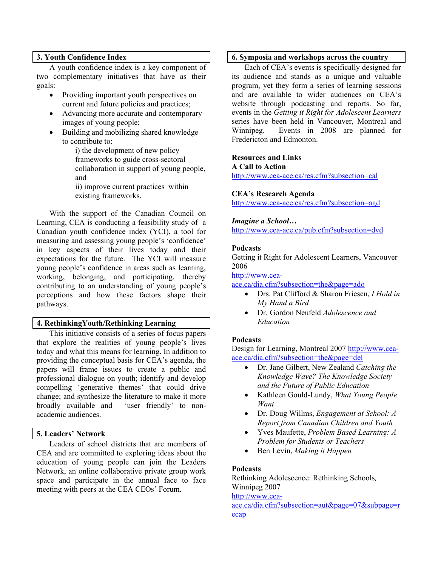## **3. Youth Confidence Index**

A youth confidence index is a key component of two complementary initiatives that have as their goals:

- Providing important youth perspectives on current and future policies and practices;
- Advancing more accurate and contemporary images of young people;
- Building and mobilizing shared knowledge to contribute to:

i) the development of new policy frameworks to guide cross-sectoral collaboration in support of young people, and

ii) improve current practices within existing frameworks.

With the support of the Canadian Council on Learning, CEA is conducting a feasibility study of a Canadian youth confidence index (YCI), a tool for measuring and assessing young people's 'confidence' in key aspects of their lives today and their expectations for the future. The YCI will measure young people's confidence in areas such as learning, working, belonging, and participating, thereby contributing to an understanding of young people's perceptions and how these factors shape their pathways.

## **4. RethinkingYouth/Rethinking Learning**

This initiative consists of a series of focus papers that explore the realities of young people's lives today and what this means for learning. In addition to providing the conceptual basis for CEA's agenda, the papers will frame issues to create a public and professional dialogue on youth; identify and develop compelling 'generative themes' that could drive change; and synthesize the literature to make it more broadly available and 'user friendly' to nonacademic audiences.

## **5. Leaders' Network**

Leaders of school districts that are members of CEA and are committed to exploring ideas about the education of young people can join the Leaders Network, an online collaborative private group work space and participate in the annual face to face meeting with peers at the CEA CEOs' Forum.

#### **6. Symposia and workshops across the country**

Each of CEA's events is specifically designed for its audience and stands as a unique and valuable program, yet they form a series of learning sessions and are available to wider audiences on CEA's website through podcasting and reports. So far, events in the *Getting it Right for Adolescent Learners* series have been held in Vancouver, Montreal and Winnipeg. Events in 2008 are planned for Fredericton and Edmonton.

## **Resources and Links**

#### **A Call to Action**

http://www.cea-ace.ca/res.cfm?subsection=cal

#### **CEA's Research Agenda**

http://www.cea-ace.ca/res.cfm?subsection=agd

#### *Imagine a School…*

http://www.cea-ace.ca/pub.cfm?subsection=dvd

## **Podcasts**

Getting it Right for Adolescent Learners, Vancouver 2006

## http://www.cea-

ace.ca/dia.cfm?subsection=the&page=ado

- Drs. Pat Clifford & Sharon Friesen, *I Hold in My Hand a Bird*
- Dr. Gordon Neufeld *Adolescence and Education*

#### **Podcasts**

Design for Learning, Montreal 2007 http://www.ceaace.ca/dia.cfm?subsection=the&page=del

- Dr. Jane Gilbert, New Zealand *Catching the Knowledge Wave? The Knowledge Society and the Future of Public Education*
- Kathleen Gould-Lundy, *What Young People Want*
- Dr. Doug Willms, *Engagement at School: A Report from Canadian Children and Youth*
- Yves Maufette, *Problem Based Learning: A Problem for Students or Teachers*
- Ben Levin, *Making it Happen*

#### **Podcasts**

Rethinking Adolescence: Rethinking Schools*,*  Winnipeg 2007 http://www.ceaace.ca/dia.cfm?subsection=aut&page=07&subpage=r ecap